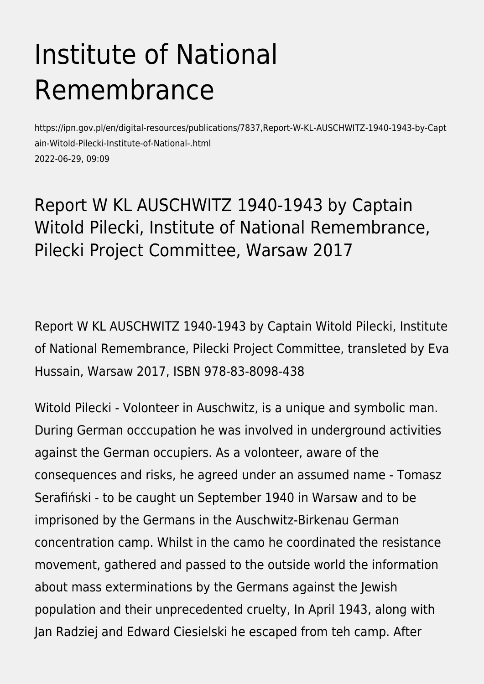## Institute of National Remembrance

https://ipn.gov.pl/en/digital-resources/publications/7837,Report-W-KL-AUSCHWITZ-1940-1943-by-Capt ain-Witold-Pilecki-Institute-of-National-.html 2022-06-29, 09:09

## Report W KL AUSCHWITZ 1940-1943 by Captain Witold Pilecki, Institute of National Remembrance, Pilecki Project Committee, Warsaw 2017

Report W KL AUSCHWITZ 1940-1943 by Captain Witold Pilecki, Institute of National Remembrance, Pilecki Project Committee, transleted by Eva Hussain, Warsaw 2017, ISBN 978-83-8098-438

Witold Pilecki - Volonteer in Auschwitz, is a unique and symbolic man. During German occcupation he was involved in underground activities against the German occupiers. As a volonteer, aware of the consequences and risks, he agreed under an assumed name - Tomasz Serafiński - to be caught un September 1940 in Warsaw and to be imprisoned by the Germans in the Auschwitz-Birkenau German concentration camp. Whilst in the camo he coordinated the resistance movement, gathered and passed to the outside world the information about mass exterminations by the Germans against the Jewish population and their unprecedented cruelty, In April 1943, along with Jan Radziej and Edward Ciesielski he escaped from teh camp. After